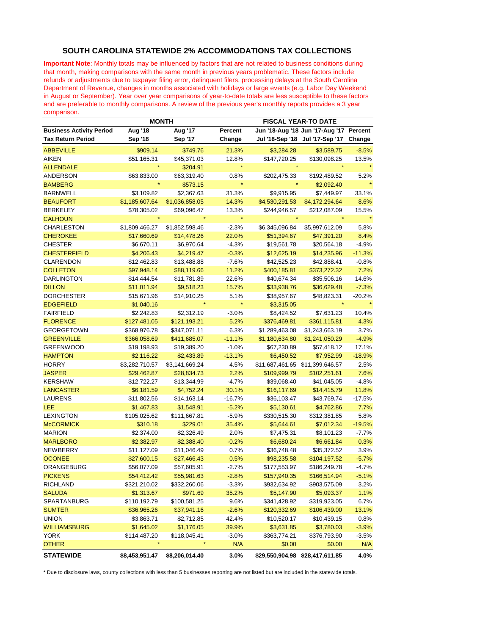## **SOUTH CAROLINA STATEWIDE 2% ACCOMMODATIONS TAX COLLECTIONS**

**Important Note**: Monthly totals may be influenced by factors that are not related to business conditions during that month, making comparisons with the same month in previous years problematic. These factors include refunds or adjustments due to taxpayer filing error, delinquent filers, processing delays at the South Carolina Department of Revenue, changes in months associated with holidays or large events (e.g. Labor Day Weekend in August or September). Year over year comparisons of year-to-date totals are less susceptible to these factors and are preferable to monthly comparisons. A review of the previous year's monthly reports provides a 3 year comparison.

|                                 | <b>MONTH</b>   |                |          | <b>FISCAL YEAR-TO DATE</b> |                                 |          |
|---------------------------------|----------------|----------------|----------|----------------------------|---------------------------------|----------|
| <b>Business Activity Period</b> | <b>Aug '18</b> | Aug '17        | Percent  |                            | Jun '18-Aug '18 Jun '17-Aug '17 | Percent  |
| Tax Return Period               | <b>Sep '18</b> | Sep '17        | Change   |                            | Jul '18-Sep '18 Jul '17-Sep '17 | Change   |
| <b>ABBEVILLE</b>                | \$909.14       | \$749.76       | 21.3%    | \$3,284.28                 | \$3,589.75                      | $-8.5%$  |
| <b>AIKEN</b>                    | \$51,165.31    | \$45,371.03    | 12.8%    | \$147,720.25               | \$130,098.25                    | 13.5%    |
| <b>ALLENDALE</b>                |                | \$204.91       |          |                            |                                 |          |
| ANDERSON                        | \$63,833.00    | \$63,319.40    | 0.8%     | \$202,475.33               | \$192,489.52                    | 5.2%     |
| <b>BAMBERG</b>                  |                | \$573.15       |          |                            | \$2,092.40                      |          |
| <b>BARNWELL</b>                 | \$3,109.82     | \$2,367.63     | 31.3%    | \$9,915.95                 | \$7,449.97                      | 33.1%    |
| <b>BEAUFORT</b>                 | \$1,185,607.64 | \$1,036,858.05 | 14.3%    | \$4,530,291.53             | \$4,172,294.64                  | 8.6%     |
| <b>BERKELEY</b>                 | \$78,305.02    | \$69,096.47    | 13.3%    | \$244,946.57               | \$212,087.09                    | 15.5%    |
| <b>CALHOUN</b>                  |                |                | $\star$  |                            |                                 |          |
| <b>CHARLESTON</b>               | \$1,809,466.27 | \$1,852,598.46 | $-2.3%$  | \$6,345,096.84             | \$5,997,612.09                  | 5.8%     |
| <b>CHEROKEE</b>                 | \$17,660.69    | \$14,478.26    | 22.0%    | \$51,394.67                | \$47,391.20                     | 8.4%     |
| <b>CHESTER</b>                  | \$6,670.11     | \$6,970.64     | $-4.3%$  | \$19,561.78                | \$20,564.18                     | $-4.9%$  |
| <b>CHESTERFIELD</b>             | \$4,206.43     | \$4,219.47     | $-0.3%$  | \$12,625.19                | \$14,235.96                     | $-11.3%$ |
| <b>CLARENDON</b>                | \$12,462.83    | \$13,488.88    | $-7.6%$  | \$42,525.23                | \$42,888.41                     | $-0.8%$  |
| <b>COLLETON</b>                 | \$97,948.14    | \$88,119.66    | 11.2%    | \$400,185.81               | \$373,272.32                    | 7.2%     |
| <b>DARLINGTON</b>               | \$14,444.54    | \$11,781.89    | 22.6%    | \$40,674.34                | \$35,506.16                     | 14.6%    |
| <b>DILLON</b>                   | \$11,011.94    | \$9,518.23     | 15.7%    | \$33,938.76                | \$36,629.48                     | $-7.3%$  |
| <b>DORCHESTER</b>               | \$15,671.96    | \$14,910.25    | 5.1%     | \$38,957.67                | \$48,823.31                     | -20.2%   |
| <b>EDGEFIELD</b>                | \$1,040.16     |                | $\star$  | \$3,315.05                 |                                 |          |
| <b>FAIRFIELD</b>                | \$2,242.83     | \$2,312.19     | $-3.0%$  | \$8,424.52                 | \$7,631.23                      | 10.4%    |
| <b>FLORENCE</b>                 | \$127,481.05   | \$121,193.21   | 5.2%     | \$376,469.81               | \$361,115.81                    | 4.3%     |
| <b>GEORGETOWN</b>               | \$368,976.78   | \$347,071.11   | 6.3%     | \$1,289,463.08             | \$1,243,663.19                  | 3.7%     |
| <b>GREENVILLE</b>               | \$366,058.69   | \$411,685.07   | $-11.1%$ | \$1,180,634.80             | \$1,241,050.29                  | $-4.9%$  |
| <b>GREENWOOD</b>                | \$19,198.93    | \$19,389.20    | $-1.0%$  | \$67,230.89                | \$57,418.12                     | 17.1%    |
| <b>HAMPTON</b>                  | \$2,116.22     | \$2,433.89     | $-13.1%$ | \$6,450.52                 | \$7,952.99                      | $-18.9%$ |
| <b>HORRY</b>                    | \$3,282,710.57 | \$3,141,669.24 | 4.5%     |                            | \$11,687,461.65 \$11,399,646.57 | 2.5%     |
| <b>JASPER</b>                   | \$29,462.87    | \$28,834.73    | 2.2%     | \$109,999.79               | \$102,251.61                    | 7.6%     |
| <b>KERSHAW</b>                  | \$12,722.27    | \$13,344.99    | $-4.7%$  | \$39,068.40                | \$41,045.05                     | $-4.8%$  |
| <b>LANCASTER</b>                | \$6,181.59     | \$4,752.24     | 30.1%    | \$16,117.69                | \$14,415.79                     | 11.8%    |
| <b>LAURENS</b>                  | \$11,802.56    | \$14,163.14    | $-16.7%$ | \$36,103.47                | \$43,769.74                     | $-17.5%$ |
| LEE                             | \$1,467.83     | \$1,548.91     | $-5.2%$  | \$5,130.61                 | \$4,762.86                      | 7.7%     |
| <b>LEXINGTON</b>                | \$105,025.62   | \$111,667.81   | $-5.9%$  | \$330,515.30               | \$312,381.85                    | 5.8%     |
| <b>McCORMICK</b>                | \$310.18       | \$229.01       | 35.4%    | \$5,644.61                 | \$7,012.34                      | $-19.5%$ |
| <b>MARION</b>                   | \$2,374.00     | \$2,326.49     | 2.0%     | \$7,475.31                 | \$8,101.23                      | $-7.7%$  |
| <b>MARLBORO</b>                 | \$2,382.97     | \$2,388.40     | $-0.2%$  | \$6,680.24                 | \$6,661.84                      | 0.3%     |
| NEWBERRY                        | \$11,127.09    | \$11,046.49    | 0.7%     | \$36,748.48                | \$35,372.52                     | 3.9%     |
| <b>OCONEE</b>                   | \$27,600.15    | \$27,466.43    | 0.5%     | \$98,235.58                | \$104,197.52                    | $-5.7%$  |
| ORANGEBURG                      | \$56,077.09    | \$57,605.91    | $-2.7%$  | \$177,553.97               | \$186,249.78                    | $-4.7%$  |
| <b>PICKENS</b>                  | \$54,412.42    | \$55,981.63    | $-2.8%$  | \$157,940.35               | \$166,514.94                    | $-5.1%$  |
| RICHLAND                        | \$321,210.02   | \$332,260.06   | $-3.3%$  | \$932,634.92               | \$903,575.09                    | 3.2%     |
| <b>SALUDA</b>                   | \$1,313.67     | \$971.69       | 35.2%    | \$5,147.90                 | \$5,093.37                      | 1.1%     |
| SPARTANBURG                     | \$110,192.79   | \$100,581.25   | 9.6%     | \$341,428.92               | \$319,923.05                    | 6.7%     |
| <b>SUMTER</b>                   | \$36,965.26    | \$37,941.16    | $-2.6%$  | \$120,332.69               | \$106,439.00                    | 13.1%    |
| <b>UNION</b>                    | \$3,863.71     | \$2,712.85     | 42.4%    | \$10,520.17                | \$10,439.15                     | 0.8%     |
| <b>WILLIAMSBURG</b>             | \$1,645.02     | \$1,176.05     | 39.9%    | \$3,631.85                 | \$3,780.03                      | $-3.9%$  |
| <b>YORK</b>                     | \$114,487.20   | \$118,045.41   | $-3.0%$  | \$363,774.21               | \$376,793.90                    | $-3.5%$  |
| <b>OTHER</b>                    | $\star$        | $\ast$         | N/A      | \$0.00                     | \$0.00                          | N/A      |
| <b>STATEWIDE</b>                | \$8,453,951.47 | \$8,206,014.40 | 3.0%     |                            | \$29,550,904.98 \$28,417,611.85 | 4.0%     |

\* Due to disclosure laws, county collections with less than 5 businesses reporting are not listed but are included in the statewide totals.